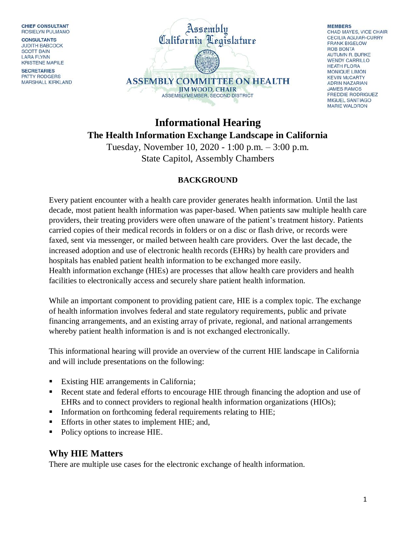**CHIEF CONSULTANT** ROSIELYN PULMANO

**CONSULTANTS JUDITH BABCOCK SCOTT BAIN LARA FLYNN KRISTENE MAPILE** 

**SECRETARIES PATTY RODGERS** MARSHALL KIRKLAND



**MEMBERS** CHAD MAYES, VICE CHAIR **CECILIA AGUIAR-CURRY FRANK BIGELOW ROB BONTA** AUTUMN R. BURKE **WENDY CARRILLO HEATH FLORA** MONIQUE LIMÓN **KEVIN McCARTY ADRIN NAZARIAN JAMES RAMOS FREDDIE RODRIGUEZ MIGUEL SANTIAGO MARIE WALDRON** 

# **Informational Hearing The Health Information Exchange Landscape in California**

Tuesday, November 10, 2020 - 1:00 p.m. – 3:00 p.m. State Capitol, Assembly Chambers

#### **BACKGROUND**

Every patient encounter with a health care provider generates health information. Until the last decade, most patient health information was paper-based. When patients saw multiple health care providers, their treating providers were often unaware of the patient's treatment history. Patients carried copies of their medical records in folders or on a disc or flash drive, or records were faxed, sent via messenger, or mailed between health care providers. Over the last decade, the increased adoption and use of electronic health records (EHRs) by health care providers and hospitals has enabled patient health information to be exchanged more easily. Health information exchange (HIEs) are processes that allow health care providers and health facilities to electronically access and securely share patient health information.

While an important component to providing patient care, HIE is a complex topic. The exchange of health information involves federal and state regulatory requirements, public and private financing arrangements, and an existing array of private, regional, and national arrangements whereby patient health information is and is not exchanged electronically.

This informational hearing will provide an overview of the current HIE landscape in California and will include presentations on the following:

- Existing HIE arrangements in California;
- Recent state and federal efforts to encourage HIE through financing the adoption and use of EHRs and to connect providers to regional health information organizations (HIOs);
- Information on forthcoming federal requirements relating to HIE;
- **Efforts in other states to implement HIE; and,**
- Policy options to increase HIE.

## **Why HIE Matters**

There are multiple use cases for the electronic exchange of health information.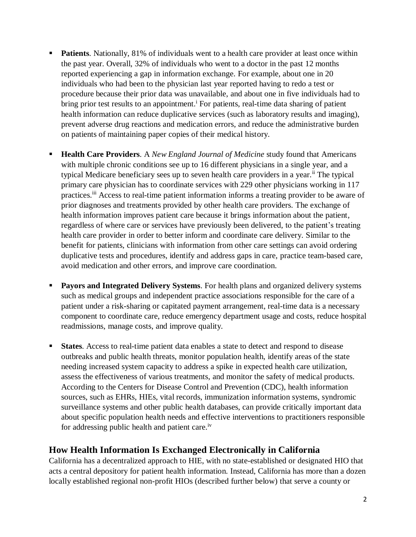- **Patients**. Nationally, 81% of individuals went to a health care provider at least once within the past year. Overall, 32% of individuals who went to a doctor in the past 12 months reported experiencing a gap in information exchange. For example, about one in 20 individuals who had been to the physician last year reported having to redo a test or procedure because their prior data was unavailable, and about one in five individuals had to bring prior test results to an appointment.<sup>i</sup> For patients, real-time data sharing of patient health information can reduce duplicative services (such as laboratory results and imaging), prevent adverse drug reactions and medication errors, and reduce the administrative burden on patients of maintaining paper copies of their medical history.
- **Health Care Providers**. A *New England Journal of Medicine* study found that Americans with multiple chronic conditions see up to 16 different physicians in a single year, and a typical Medicare beneficiary sees up to seven health care providers in a year.<sup>ii</sup> The typical primary care physician has to coordinate services with 229 other physicians working in 117 practices.<sup>iii</sup> Access to real-time patient information informs a treating provider to be aware of prior diagnoses and treatments provided by other health care providers. The exchange of health information improves patient care because it brings information about the patient, regardless of where care or services have previously been delivered, to the patient's treating health care provider in order to better inform and coordinate care delivery. Similar to the benefit for patients, clinicians with information from other care settings can avoid ordering duplicative tests and procedures, identify and address gaps in care, practice team-based care, avoid medication and other errors, and improve care coordination.
- **Payors and Integrated Delivery Systems**. For health plans and organized delivery systems such as medical groups and independent practice associations responsible for the care of a patient under a risk-sharing or capitated payment arrangement, real-time data is a necessary component to coordinate care, reduce emergency department usage and costs, reduce hospital readmissions, manage costs, and improve quality.
- **States**. Access to real-time patient data enables a state to detect and respond to disease outbreaks and public health threats, monitor population health, identify areas of the state needing increased system capacity to address a spike in expected health care utilization, assess the effectiveness of various treatments, and monitor the safety of medical products. According to the Centers for Disease Control and Prevention (CDC), health information sources, such as EHRs, HIEs, vital records, immunization information systems, syndromic surveillance systems and other public health databases, can provide critically important data about specific population health needs and effective interventions to practitioners responsible for addressing public health and patient care.<sup>iv</sup>

## **How Health Information Is Exchanged Electronically in California**

California has a decentralized approach to HIE, with no state-established or designated HIO that acts a central depository for patient health information. Instead, California has more than a dozen locally established regional non-profit HIOs (described further below) that serve a county or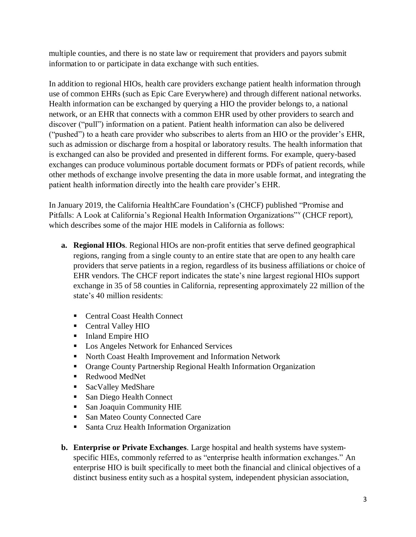multiple counties, and there is no state law or requirement that providers and payors submit information to or participate in data exchange with such entities.

In addition to regional HIOs, health care providers exchange patient health information through use of common EHRs (such as Epic Care Everywhere) and through different national networks. Health information can be exchanged by querying a HIO the provider belongs to, a national network, or an EHR that connects with a common EHR used by other providers to search and discover ("pull") information on a patient. Patient health information can also be delivered ("pushed") to a heath care provider who subscribes to alerts from an HIO or the provider's EHR, such as admission or discharge from a hospital or laboratory results. The health information that is exchanged can also be provided and presented in different forms. For example, query-based exchanges can produce voluminous portable document formats or PDFs of patient records, while other methods of exchange involve presenting the data in more usable format, and integrating the patient health information directly into the health care provider's EHR.

In January 2019, the California HealthCare Foundation's (CHCF) published "Promise and Pitfalls: A Look at California's Regional Health Information Organizations" (CHCF report), which describes some of the major HIE models in California as follows:

- **a. Regional HIOs**. Regional HIOs are non-profit entities that serve defined geographical regions, ranging from a single county to an entire state that are open to any health care providers that serve patients in a region, regardless of its business affiliations or choice of EHR vendors. The CHCF report indicates the state's nine largest regional HIOs support exchange in 35 of 58 counties in California, representing approximately 22 million of the state's 40 million residents:
	- Central Coast Health Connect
	- Central Valley HIO
	- Inland Empire HIO
	- **Los Angeles Network for Enhanced Services**
	- **North Coast Health Improvement and Information Network**
	- Orange County Partnership Regional Health Information Organization
	- Redwood MedNet
	- SacValley MedShare
	- San Diego Health Connect
	- **San Joaquin Community HIE**
	- **San Mateo County Connected Care**
	- **Santa Cruz Health Information Organization**
- **b. Enterprise or Private Exchanges**. Large hospital and health systems have systemspecific HIEs, commonly referred to as "enterprise health information exchanges." An enterprise HIO is built specifically to meet both the financial and clinical objectives of a distinct business entity such as a hospital system, independent physician association,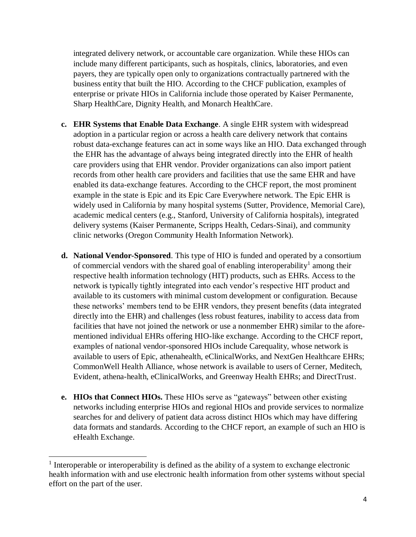integrated delivery network, or accountable care organization. While these HIOs can include many different participants, such as hospitals, clinics, laboratories, and even payers, they are typically open only to organizations contractually partnered with the business entity that built the HIO. According to the CHCF publication, examples of enterprise or private HIOs in California include those operated by Kaiser Permanente, Sharp HealthCare, Dignity Health, and Monarch HealthCare.

- **c. EHR Systems that Enable Data Exchange**. A single EHR system with widespread adoption in a particular region or across a health care delivery network that contains robust data-exchange features can act in some ways like an HIO. Data exchanged through the EHR has the advantage of always being integrated directly into the EHR of health care providers using that EHR vendor. Provider organizations can also import patient records from other health care providers and facilities that use the same EHR and have enabled its data-exchange features. According to the CHCF report, the most prominent example in the state is Epic and its Epic Care Everywhere network. The Epic EHR is widely used in California by many hospital systems (Sutter, Providence, Memorial Care), academic medical centers (e.g., Stanford, University of California hospitals), integrated delivery systems (Kaiser Permanente, Scripps Health, Cedars-Sinai), and community clinic networks (Oregon Community Health Information Network).
- **d. National Vendor-Sponsored**. This type of HIO is funded and operated by a consortium of commercial vendors with the shared goal of enabling interoperability<sup>1</sup> among their respective health information technology (HIT) products, such as EHRs. Access to the network is typically tightly integrated into each vendor's respective HIT product and available to its customers with minimal custom development or configuration. Because these networks' members tend to be EHR vendors, they present benefits (data integrated directly into the EHR) and challenges (less robust features, inability to access data from facilities that have not joined the network or use a nonmember EHR) similar to the aforementioned individual EHRs offering HIO-like exchange. According to the CHCF report, examples of national vendor-sponsored HIOs include Carequality, whose network is available to users of Epic, athenahealth, eClinicalWorks, and NextGen Healthcare EHRs; CommonWell Health Alliance, whose network is available to users of Cerner, Meditech, Evident, athena-health, eClinicalWorks, and Greenway Health EHRs; and DirectTrust.
- **e. HIOs that Connect HIOs.** These HIOs serve as "gateways" between other existing networks including enterprise HIOs and regional HIOs and provide services to normalize searches for and delivery of patient data across distinct HIOs which may have differing data formats and standards. According to the CHCF report, an example of such an HIO is eHealth Exchange.

 $\overline{a}$ 

<sup>&</sup>lt;sup>1</sup> Interoperable or interoperability is defined as the ability of a system to exchange electronic health information with and use electronic health information from other systems without special effort on the part of the user.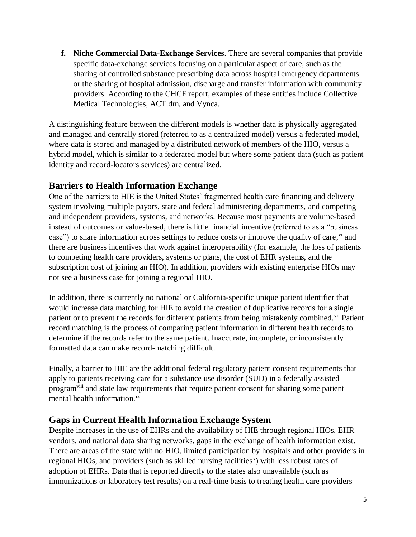**f. Niche Commercial Data-Exchange Services**. There are several companies that provide specific data-exchange services focusing on a particular aspect of care, such as the sharing of controlled substance prescribing data across hospital emergency departments or the sharing of hospital admission, discharge and transfer information with community providers. According to the CHCF report, examples of these entities include Collective Medical Technologies, ACT.dm, and Vynca.

A distinguishing feature between the different models is whether data is physically aggregated and managed and centrally stored (referred to as a centralized model) versus a federated model, where data is stored and managed by a distributed network of members of the HIO, versus a hybrid model, which is similar to a federated model but where some patient data (such as patient identity and record-locators services) are centralized.

## **Barriers to Health Information Exchange**

One of the barriers to HIE is the United States' fragmented health care financing and delivery system involving multiple payors, state and federal administering departments, and competing and independent providers, systems, and networks. Because most payments are volume-based instead of outcomes or value-based, there is little financial incentive (referred to as a "business case") to share information across settings to reduce costs or improve the quality of care, vi and there are business incentives that work against interoperability (for example, the loss of patients to competing health care providers, systems or plans, the cost of EHR systems, and the subscription cost of joining an HIO). In addition, providers with existing enterprise HIOs may not see a business case for joining a regional HIO.

In addition, there is currently no national or California-specific unique patient identifier that would increase data matching for HIE to avoid the creation of duplicative records for a single patient or to prevent the records for different patients from being mistakenly combined.<sup>vii</sup> Patient record matching is the process of comparing patient information in different health records to determine if the records refer to the same patient. Inaccurate, incomplete, or inconsistently formatted data can make record-matching difficult.

Finally, a barrier to HIE are the additional federal regulatory patient consent requirements that apply to patients receiving care for a substance use disorder (SUD) in a federally assisted programviii and state law requirements that require patient consent for sharing some patient mental health information.<sup>ix</sup>

## **Gaps in Current Health Information Exchange System**

Despite increases in the use of EHRs and the availability of HIE through regional HIOs, EHR vendors, and national data sharing networks, gaps in the exchange of health information exist. There are areas of the state with no HIO, limited participation by hospitals and other providers in regional HIOs, and providers (such as skilled nursing facilities<sup>x</sup>) with less robust rates of adoption of EHRs. Data that is reported directly to the states also unavailable (such as immunizations or laboratory test results) on a real-time basis to treating health care providers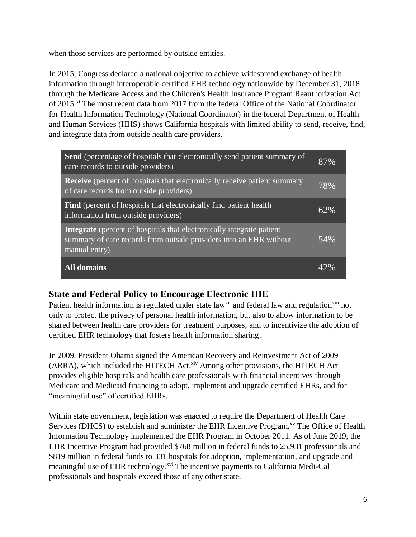when those services are performed by outside entities.

In 2015, Congress declared a national objective to achieve widespread exchange of health information through interoperable certified EHR technology nationwide by December 31, 2018 through the Medicare Access and the Children's Health Insurance Program Reauthorization Act of 2015.<sup>xi</sup> The most recent data from 2017 from the federal Office of the National Coordinator for Health Information Technology (National Coordinator) in the federal Department of Health and Human Services (HHS) shows California hospitals with limited ability to send, receive, find, and integrate data from outside health care providers.

| <b>Send</b> (percentage of hospitals that electronically send patient summary of<br>care records to outside providers)                                              | 87% |
|---------------------------------------------------------------------------------------------------------------------------------------------------------------------|-----|
| <b>Receive</b> (percent of hospitals that electronically receive patient summary<br>of care records from outside providers)                                         | 78% |
| <b>Find</b> (percent of hospitals that electronically find patient health)<br>information from outside providers)                                                   | 62% |
| <b>Integrate</b> (percent of hospitals that electronically integrate patient<br>summary of care records from outside providers into an EHR without<br>manual entry) | 54% |
| <b>All domains</b>                                                                                                                                                  |     |

## **State and Federal Policy to Encourage Electronic HIE**

Patient health information is regulated under state law<sup>xii</sup> and federal law and regulation<sup>xiii</sup> not only to protect the privacy of personal health information, but also to allow information to be shared between health care providers for treatment purposes, and to incentivize the adoption of certified EHR technology that fosters health information sharing.

In 2009, President Obama signed the American Recovery and Reinvestment Act of 2009 (ARRA), which included the HITECH Act.<sup>xiv</sup> Among other provisions, the HITECH Act provides eligible hospitals and health care professionals with financial incentives through Medicare and Medicaid financing to adopt, implement and upgrade certified EHRs, and for "meaningful use" of certified EHRs.

Within state government, legislation was enacted to require the Department of Health Care Services (DHCS) to establish and administer the EHR Incentive Program.<sup>xv</sup> The Office of Health Information Technology implemented the EHR Program in October 2011. As of June 2019, the EHR Incentive Program had provided \$768 million in federal funds to 25,931 professionals and \$819 million in federal funds to 331 hospitals for adoption, implementation, and upgrade and meaningful use of EHR technology.<sup>xvi</sup> The incentive payments to California Medi-Cal professionals and hospitals exceed those of any other state.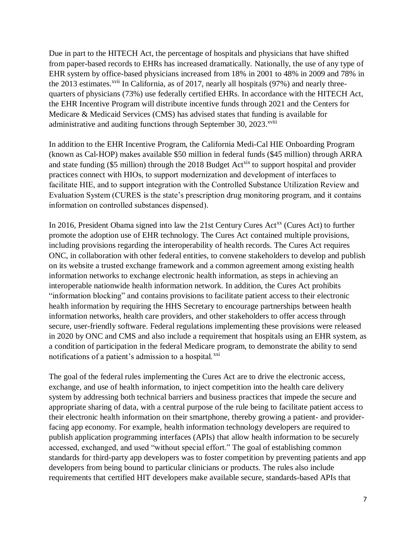Due in part to the HITECH Act, the percentage of hospitals and physicians that have shifted from paper-based records to EHRs has increased dramatically. Nationally, the use of any type of EHR system by office-based physicians increased from 18% in 2001 to 48% in 2009 and 78% in the 2013 estimates.<sup>xvii</sup> In California, as of 2017, nearly all hospitals  $(97%)$  and nearly threequarters of physicians (73%) use federally certified EHRs. In accordance with the HITECH Act, the EHR Incentive Program will distribute incentive funds through 2021 and the Centers for Medicare & Medicaid Services (CMS) has advised states that funding is available for administrative and auditing functions through September 30, 2023.<sup>xviii</sup>

In addition to the EHR Incentive Program, the California Medi-Cal HIE Onboarding Program (known as Cal-HOP) makes available \$50 million in federal funds (\$45 million) through ARRA and state funding (\$5 million) through the 2018 Budget  $Act^{\text{six}}$  to support hospital and provider practices connect with HIOs, to support modernization and development of interfaces to facilitate HIE, and to support integration with the Controlled Substance Utilization Review and Evaluation System (CURES is the state's prescription drug monitoring program, and it contains information on controlled substances dispensed).

In 2016, President Obama signed into law the 21st Century Cures Act<sup>xx</sup> (Cures Act) to further promote the adoption use of EHR technology. The Cures Act contained multiple provisions, including provisions regarding the interoperability of health records. The Cures Act requires ONC, in collaboration with other federal entities, to convene stakeholders to develop and publish on its website a trusted exchange framework and a common agreement among existing health information networks to exchange electronic health information, as steps in achieving an interoperable nationwide health information network. In addition, the Cures Act prohibits "information blocking" and contains provisions to facilitate patient access to their electronic health information by requiring the HHS Secretary to encourage partnerships between health information networks, health care providers, and other stakeholders to offer access through secure, user-friendly software. Federal regulations implementing these provisions were released in 2020 by ONC and CMS and also include a requirement that hospitals using an EHR system, as a condition of participation in the federal Medicare program, to demonstrate the ability to send notifications of a patient's admission to a hospital.<sup>xxi</sup>

The goal of the federal rules implementing the Cures Act are to drive the electronic access, exchange, and use of health information, to inject competition into the health care delivery system by addressing both technical barriers and business practices that impede the secure and appropriate sharing of data, with a central purpose of the rule being to facilitate patient access to their electronic health information on their smartphone, thereby growing a patient- and providerfacing app economy. For example, health information technology developers are required to publish application programming interfaces (APIs) that allow health information to be securely accessed, exchanged, and used "without special effort." The goal of establishing common standards for third-party app developers was to foster competition by preventing patients and app developers from being bound to particular clinicians or products. The rules also include requirements that certified HIT developers make available secure, standards-based APIs that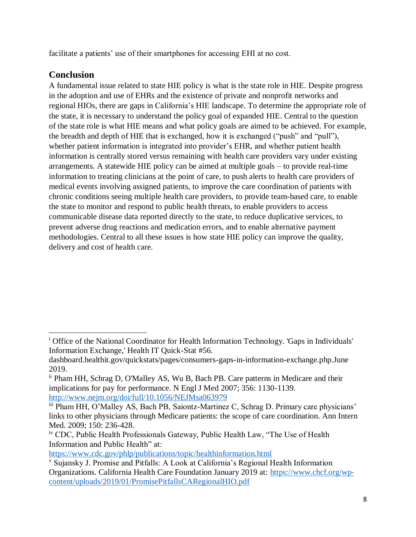facilitate a patients' use of their smartphones for accessing EHI at no cost.

#### **Conclusion**

 $\overline{\phantom{a}}$ 

A fundamental issue related to state HIE policy is what is the state role in HIE. Despite progress in the adoption and use of EHRs and the existence of private and nonprofit networks and regional HIOs, there are gaps in California's HIE landscape. To determine the appropriate role of the state, it is necessary to understand the policy goal of expanded HIE. Central to the question of the state role is what HIE means and what policy goals are aimed to be achieved. For example, the breadth and depth of HIE that is exchanged, how it is exchanged ("push" and "pull"), whether patient information is integrated into provider's EHR, and whether patient health information is centrally stored versus remaining with health care providers vary under existing arrangements. A statewide HIE policy can be aimed at multiple goals – to provide real-time information to treating clinicians at the point of care, to push alerts to health care providers of medical events involving assigned patients, to improve the care coordination of patients with chronic conditions seeing multiple health care providers, to provide team-based care, to enable the state to monitor and respond to public health threats, to enable providers to access communicable disease data reported directly to the state, to reduce duplicative services, to prevent adverse drug reactions and medication errors, and to enable alternative payment methodologies. Central to all these issues is how state HIE policy can improve the quality, delivery and cost of health care.

<sup>&</sup>lt;sup>i</sup> Office of the National Coordinator for Health Information Technology. 'Gaps in Individuals' Information Exchange,' Health IT Quick-Stat #56.

dashboard.healthit.gov/quickstats/pages/consumers-gaps-in-information-exchange.php.June 2019.

ii Pham HH, Schrag D, O'Malley AS, Wu B, Bach PB. Care patterns in Medicare and their implications for pay for performance. N Engl J Med 2007; 356: 1130-1139. <http://www.nejm.org/doi/full/10.1056/NEJMsa063979>

iii Pham HH, O'Malley AS, Bach PB, Saiontz-Martinez C, Schrag D. Primary care physicians' links to other physicians through Medicare patients: the scope of care coordination. Ann Intern Med. 2009; 150: 236-428.

iv CDC, Public Health Professionals Gateway, Public Health Law, "The Use of Health Information and Public Health" at:

<https://www.cdc.gov/phlp/publications/topic/healthinformation.html>

<sup>v</sup> Sujansky J. Promise and Pitfalls: A Look at California's Regional Health Information Organizations. California Health Care Foundation January 2019 at: [https://www.chcf.org/wp](https://www.chcf.org/wp-content/uploads/2019/01/PromisePitfallsCARegionalHIO.pdf)[content/uploads/2019/01/PromisePitfallsCARegionalHIO.pdf](https://www.chcf.org/wp-content/uploads/2019/01/PromisePitfallsCARegionalHIO.pdf)